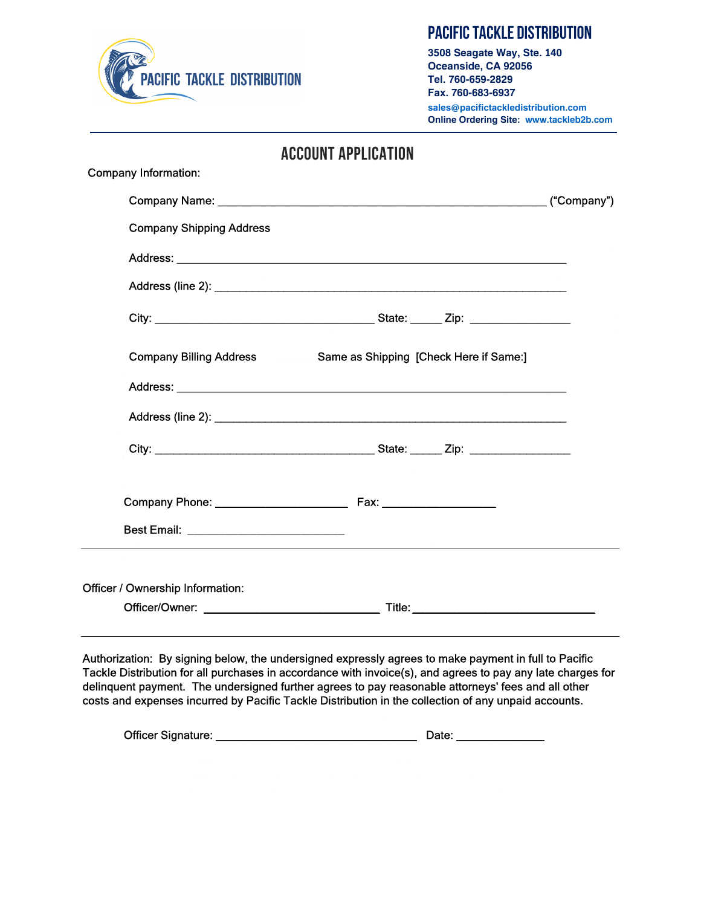

# **Pacific Tackle Distribution**

**3508 Seagate Way, Ste. 140 Oceanside, CA 92056 Tel. 760-659-2829 Fax. 760-683-6937 sales@pacifictackledistribution.com Online Ordering Site: www.tackleb2b.com**

| <b>ACCOUNT APPLICATION</b>              |                                                                                                               |  |
|-----------------------------------------|---------------------------------------------------------------------------------------------------------------|--|
| <b>Company Information:</b>             |                                                                                                               |  |
|                                         | ("Company")                                                                                                   |  |
| <b>Company Shipping Address</b>         |                                                                                                               |  |
|                                         |                                                                                                               |  |
|                                         |                                                                                                               |  |
|                                         |                                                                                                               |  |
|                                         | Company Billing Address Same as Shipping [Check Here if Same:]                                                |  |
|                                         |                                                                                                               |  |
|                                         |                                                                                                               |  |
|                                         |                                                                                                               |  |
|                                         | Company Phone: 2008 2010 2020 2021 2021 2022 2021 2022 2021 2022 2022 2023 2024 2022 2022 2022 2023 2021 2022 |  |
|                                         |                                                                                                               |  |
|                                         |                                                                                                               |  |
| <b>Officer / Ownership Information:</b> |                                                                                                               |  |
|                                         |                                                                                                               |  |

Authorization: By signing below, the undersigned expressly agrees to make payment in full to Pacific Tackle Distribution for all purchases in accordance with invoice(s), and agrees to pay any late charges for delinquent payment. The undersigned further agrees to pay reasonable attorneys' fees and all other costs and expenses incurred by Pacific Tackle Distribution in the collection of any unpaid accounts.

| Officer Signature:<br>Date: |
|-----------------------------|
|-----------------------------|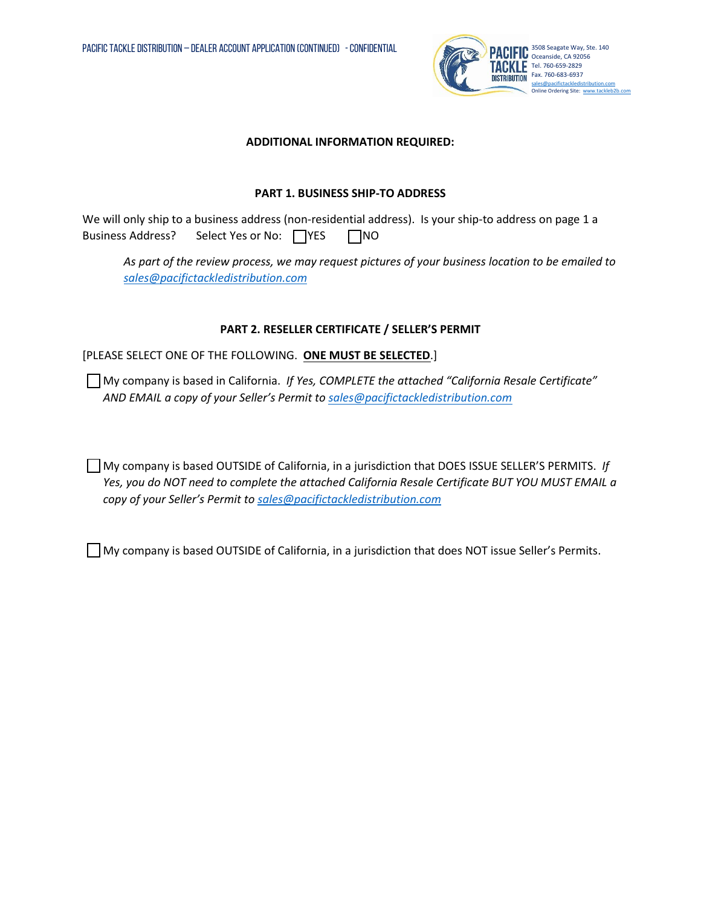

#### **ADDITIONAL INFORMATION REQUIRED:**

#### **PART 1. BUSINESS SHIP-TO ADDRESS**

We will only ship to a business address (non-residential address). Is your ship-to address on page 1 a Business Address? Select Yes or No: NES NO

*As part of the review process, we may request pictures of your business location to be emailed to [sales@pacifictackledistribution.com](mailto:sales@pacifictackledistribution.com)*

### **PART 2. RESELLER CERTIFICATE / SELLER'S PERMIT**

### [PLEASE SELECT ONE OF THE FOLLOWING. **ONE MUST BE SELECTED**.]

My company is based in California. *If Yes, COMPLETE the attached "California Resale Certificate" AND EMAIL a copy of your Seller's Permit to sales@pacifictackledistribution.com*

My company is based OUTSIDE of California, in a jurisdiction that DOES ISSUE SELLER'S PERMITS. *If Yes, you do NOT need to complete the attached California Resale Certificate BUT YOU MUST EMAIL a copy of your Seller's Permit to [sales@pacifictackledistribution.com](mailto:sales@pacifictackledistribution.com)*

My company is based OUTSIDE of California, in a jurisdiction that does NOT issue Seller's Permits.